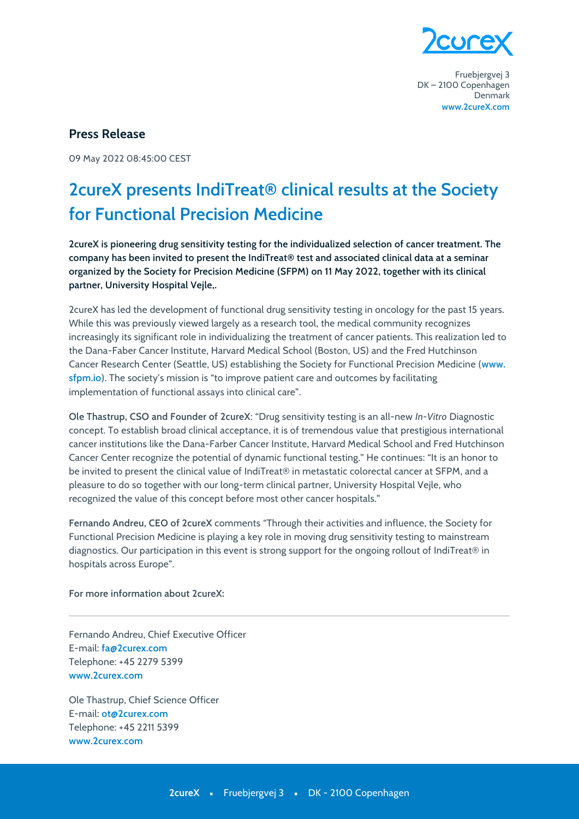

Fruebjergvej 3 DK-2100 Copenhagen Denmark www.2cureX.com

## **Press Release**

09 May 2022 08:45:00 CEST

## 2 cureX presents IndiTreat® clinical results at the Society for Functional Precision Medicine

2cureX is pioneering drug sensitivity testing for the individualized selection of cancer treatment. The company has been invited to present the IndiTreat® test and associated clinical data at a seminar organized by the Society for Precision Medicine (SFPM) on 11 May 2022, together with its clinical partner, University Hospital Vejle,.

2cureX has led the development of functional drug sensitivity testing in oncology for the past 15 years. While this was previously viewed largely as a research tool, the medical community recognizes increasingly its significant role in individualizing the treatment of cancer patients. This realization led to the Dana-Faber Cancer Institute, Harvard Medical School (Boston, US) and the Fred Hutchinson Cancer Research Center (Seattle, US) establishing the Society for Functional Precision Medicine (www. sfpm.io). The society's mission is "to improve patient care and outcomes by facilitating implementation of functional assays into clinical care".

Ole Thastrup, CSO and Founder of 2cureX: "Drug sensitivity testing is an all-new In-Vitro Diagnostic concept. To establish broad clinical acceptance, it is of tremendous value that prestigious international cancer institutions like the Dana-Farber Cancer Institute, Harvard Medical School and Fred Hutchinson Cancer Center recognize the potential of dynamic functional testing." He continues: "It is an honor to be invited to present the clinical value of IndiTreat® in metastatic colorectal cancer at SFPM, and a pleasure to do so together with our long-term clinical partner, University Hospital Vejle, who recognized the value of this concept before most other cancer hospitals."

Fernando Andreu, CEO of 2cureX comments "Through their activities and influence, the Society for Functional Precision Medicine is playing a key role in moving drug sensitivity testing to mainstream diagnostics. Our participation in this event is strong support for the ongoing rollout of IndiTreat® in hospitals across Europe".

For more information about 2cureX:

Fernando Andreu. Chief Executive Officer E-mail: fa@2curex.com Telephone: +45 2279 5399 www.2curex.com

Ole Thastrup, Chief Science Officer E-mail: ot@2curex.com Telephone: +45 2211 5399 www.2curex.com